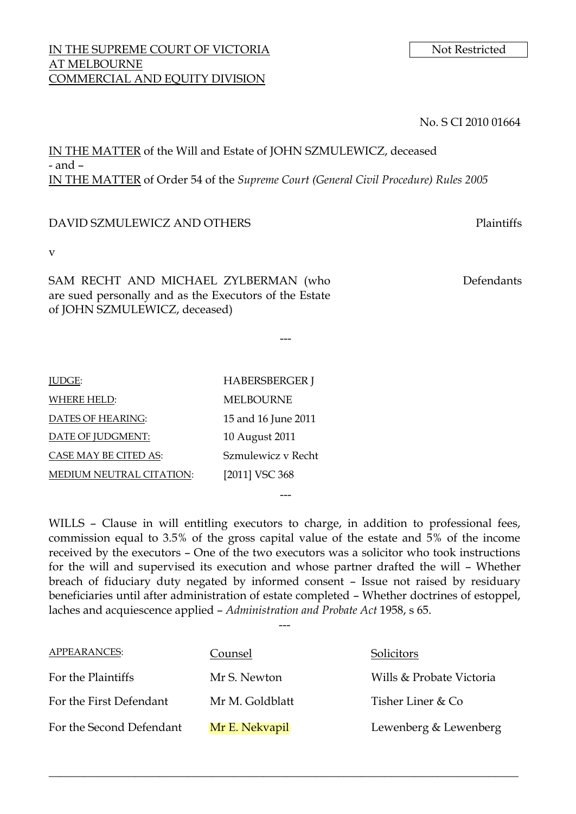## IN THE SUPREME COURT OF VICTORIA Not Restricted AT MELBOURNE COMMERCIAL AND EQUITY DIVISION

No. S CI 2010 01664

IN THE MATTER of the Will and Estate of JOHN SZMULEWICZ, deceased - and – IN THE MATTER of Order 54 of the *Supreme Court (General Civil Procedure) Rules 2005*

## DAVID SZMULEWICZ AND OTHERS Plaintiffs

v

SAM RECHT AND MICHAEL ZYLBERMAN (who are sued personally and as the Executors of the Estate of JOHN SZMULEWICZ, deceased)

Defendants

| <b>HABERSBERGER J</b> |
|-----------------------|
| <b>MELBOURNE</b>      |
| 15 and 16 June 2011   |
| 10 August 2011        |
| Szmulewicz v Recht    |
| [2011] VSC 368        |
|                       |

WILLS - Clause in will entitling executors to charge, in addition to professional fees, commission equal to 3.5% of the gross capital value of the estate and 5% of the income received by the executors – One of the two executors was a solicitor who took instructions for the will and supervised its execution and whose partner drafted the will – Whether breach of fiduciary duty negated by informed consent – Issue not raised by residuary beneficiaries until after administration of estate completed – Whether doctrines of estoppel, laches and acquiescence applied – *Administration and Probate Act* 1958, s 65.

---

---

---

| APPEARANCES:             | Counsel         | Solicitors               |
|--------------------------|-----------------|--------------------------|
| For the Plaintiffs       | Mr S. Newton    | Wills & Probate Victoria |
| For the First Defendant  | Mr M. Goldblatt | Tisher Liner & Co        |
| For the Second Defendant | Mr E. Nekvapil  | Lewenberg & Lewenberg    |

\_\_\_\_\_\_\_\_\_\_\_\_\_\_\_\_\_\_\_\_\_\_\_\_\_\_\_\_\_\_\_\_\_\_\_\_\_\_\_\_\_\_\_\_\_\_\_\_\_\_\_\_\_\_\_\_\_\_\_\_\_\_\_\_\_\_\_\_\_\_\_\_\_\_\_\_\_\_\_\_\_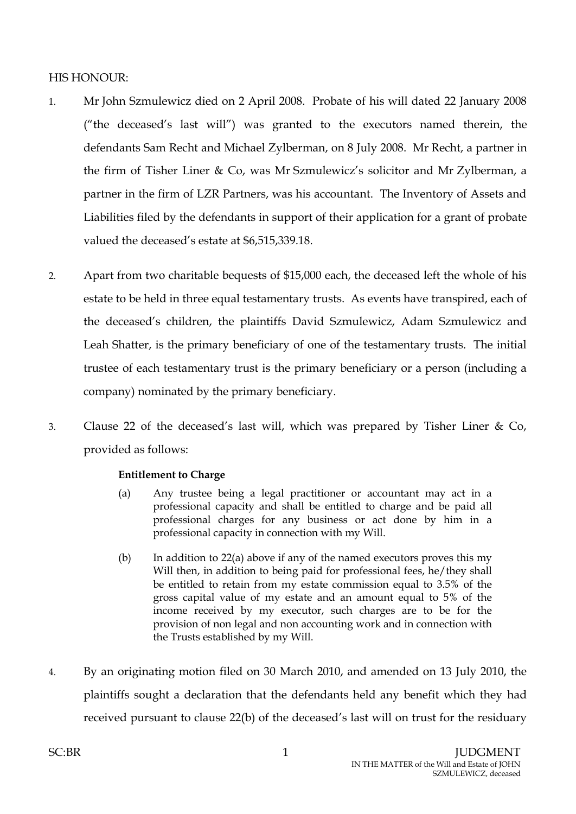## HIS HONOUR:

- 1. Mr John Szmulewicz died on 2 April 2008. Probate of his will dated 22 January 2008 ("the deceased's last will") was granted to the executors named therein, the defendants Sam Recht and Michael Zylberman, on 8 July 2008. Mr Recht, a partner in the firm of Tisher Liner & Co, was Mr Szmulewicz's solicitor and Mr Zylberman, a partner in the firm of LZR Partners, was his accountant. The Inventory of Assets and Liabilities filed by the defendants in support of their application for a grant of probate valued the deceased's estate at \$6,515,339.18.
- 2. Apart from two charitable bequests of \$15,000 each, the deceased left the whole of his estate to be held in three equal testamentary trusts. As events have transpired, each of the deceased's children, the plaintiffs David Szmulewicz, Adam Szmulewicz and Leah Shatter, is the primary beneficiary of one of the testamentary trusts. The initial trustee of each testamentary trust is the primary beneficiary or a person (including a company) nominated by the primary beneficiary.
- 3. Clause 22 of the deceased's last will, which was prepared by Tisher Liner & Co, provided as follows:

## **Entitlement to Charge**

- (a) Any trustee being a legal practitioner or accountant may act in a professional capacity and shall be entitled to charge and be paid all professional charges for any business or act done by him in a professional capacity in connection with my Will.
- (b) In addition to 22(a) above if any of the named executors proves this my Will then, in addition to being paid for professional fees, he/they shall be entitled to retain from my estate commission equal to 3.5% of the gross capital value of my estate and an amount equal to 5% of the income received by my executor, such charges are to be for the provision of non legal and non accounting work and in connection with the Trusts established by my Will.
- 4. By an originating motion filed on 30 March 2010, and amended on 13 July 2010, the plaintiffs sought a declaration that the defendants held any benefit which they had received pursuant to clause 22(b) of the deceased's last will on trust for the residuary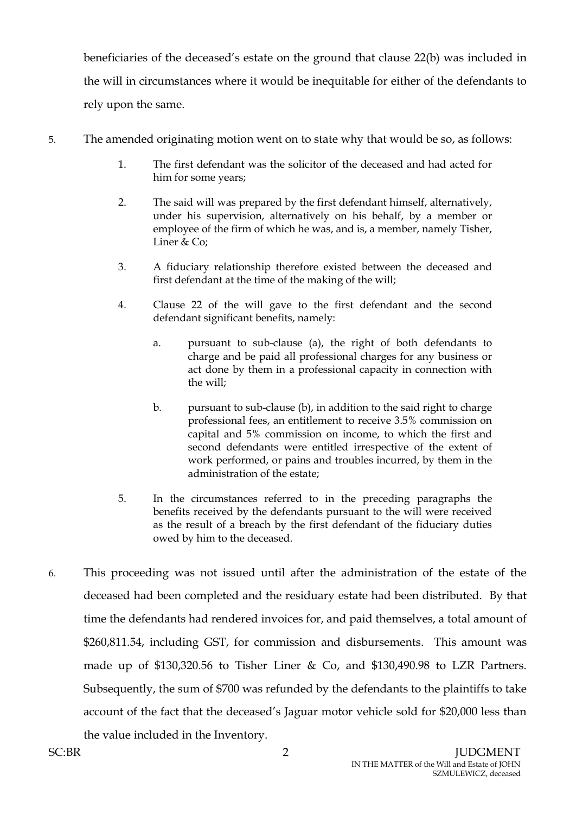beneficiaries of the deceased's estate on the ground that clause 22(b) was included in the will in circumstances where it would be inequitable for either of the defendants to rely upon the same.

- <span id="page-2-0"></span>5. The amended originating motion went on to state why that would be so, as follows:
	- 1. The first defendant was the solicitor of the deceased and had acted for him for some years;
	- 2. The said will was prepared by the first defendant himself, alternatively, under his supervision, alternatively on his behalf, by a member or employee of the firm of which he was, and is, a member, namely Tisher, Liner & Co:
	- 3. A fiduciary relationship therefore existed between the deceased and first defendant at the time of the making of the will;
	- 4. Clause 22 of the will gave to the first defendant and the second defendant significant benefits, namely:
		- a. pursuant to sub-clause (a), the right of both defendants to charge and be paid all professional charges for any business or act done by them in a professional capacity in connection with the will;
		- b. pursuant to sub-clause (b), in addition to the said right to charge professional fees, an entitlement to receive 3.5% commission on capital and 5% commission on income, to which the first and second defendants were entitled irrespective of the extent of work performed, or pains and troubles incurred, by them in the administration of the estate;
	- 5. In the circumstances referred to in the preceding paragraphs the benefits received by the defendants pursuant to the will were received as the result of a breach by the first defendant of the fiduciary duties owed by him to the deceased.
- 6. This proceeding was not issued until after the administration of the estate of the deceased had been completed and the residuary estate had been distributed. By that time the defendants had rendered invoices for, and paid themselves, a total amount of \$260,811.54, including GST, for commission and disbursements. This amount was made up of \$130,320.56 to Tisher Liner & Co, and \$130,490.98 to LZR Partners. Subsequently, the sum of \$700 was refunded by the defendants to the plaintiffs to take account of the fact that the deceased's Jaguar motor vehicle sold for \$20,000 less than

the value included in the Inventory.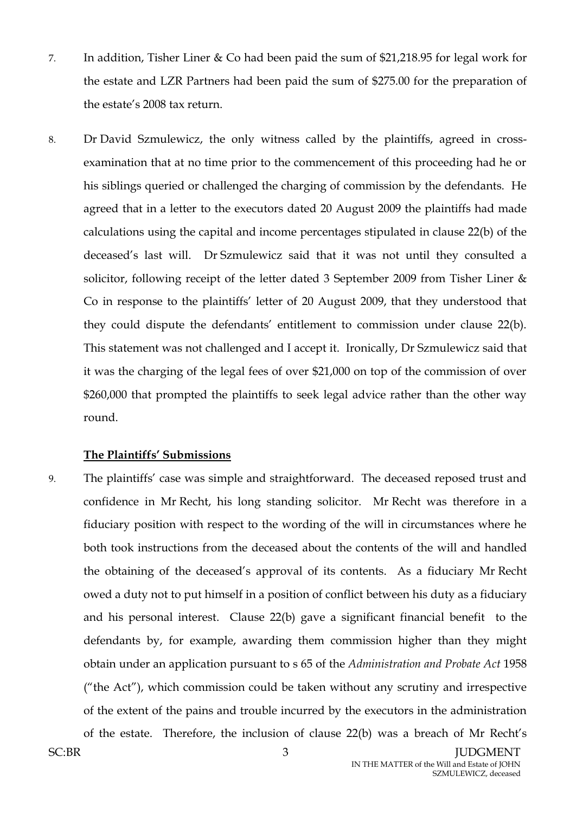- 7. In addition, Tisher Liner & Co had been paid the sum of \$21,218.95 for legal work for the estate and LZR Partners had been paid the sum of \$275.00 for the preparation of the estate's 2008 tax return.
- 8. Dr David Szmulewicz, the only witness called by the plaintiffs, agreed in crossexamination that at no time prior to the commencement of this proceeding had he or his siblings queried or challenged the charging of commission by the defendants. He agreed that in a letter to the executors dated 20 August 2009 the plaintiffs had made calculations using the capital and income percentages stipulated in clause 22(b) of the deceased's last will. Dr Szmulewicz said that it was not until they consulted a solicitor, following receipt of the letter dated 3 September 2009 from Tisher Liner & Co in response to the plaintiffs' letter of 20 August 2009, that they understood that they could dispute the defendants' entitlement to commission under clause 22(b). This statement was not challenged and I accept it. Ironically, Dr Szmulewicz said that it was the charging of the legal fees of over \$21,000 on top of the commission of over \$260,000 that prompted the plaintiffs to seek legal advice rather than the other way round.

## **The Plaintiffs' Submissions**

9. The plaintiffs' case was simple and straightforward. The deceased reposed trust and confidence in Mr Recht, his long standing solicitor. Mr Recht was therefore in a fiduciary position with respect to the wording of the will in circumstances where he both took instructions from the deceased about the contents of the will and handled the obtaining of the deceased's approval of its contents. As a fiduciary Mr Recht owed a duty not to put himself in a position of conflict between his duty as a fiduciary and his personal interest. Clause 22(b) gave a significant financial benefit to the defendants by, for example, awarding them commission higher than they might obtain under an application pursuant to s 65 of the *Administration and Probate Act* 1958 ("the Act"), which commission could be taken without any scrutiny and irrespective of the extent of the pains and trouble incurred by the executors in the administration of the estate. Therefore, the inclusion of clause 22(b) was a breach of Mr Recht's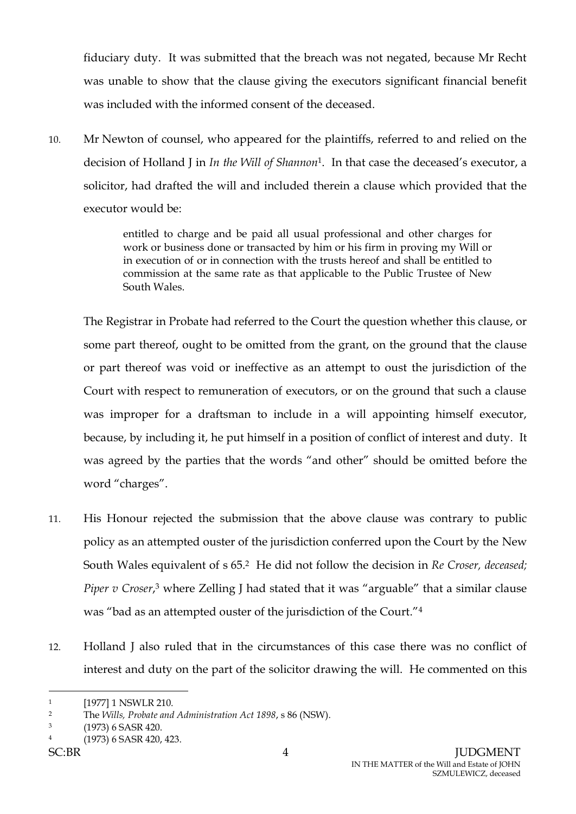fiduciary duty. It was submitted that the breach was not negated, because Mr Recht was unable to show that the clause giving the executors significant financial benefit was included with the informed consent of the deceased.

10. Mr Newton of counsel, who appeared for the plaintiffs, referred to and relied on the decision of Holland J in *In the Will of Shannon*1. In that case the deceased's executor, a solicitor, had drafted the will and included therein a clause which provided that the executor would be:

> entitled to charge and be paid all usual professional and other charges for work or business done or transacted by him or his firm in proving my Will or in execution of or in connection with the trusts hereof and shall be entitled to commission at the same rate as that applicable to the Public Trustee of New South Wales.

The Registrar in Probate had referred to the Court the question whether this clause, or some part thereof, ought to be omitted from the grant, on the ground that the clause or part thereof was void or ineffective as an attempt to oust the jurisdiction of the Court with respect to remuneration of executors, or on the ground that such a clause was improper for a draftsman to include in a will appointing himself executor, because, by including it, he put himself in a position of conflict of interest and duty. It was agreed by the parties that the words "and other" should be omitted before the word "charges".

- 11. His Honour rejected the submission that the above clause was contrary to public policy as an attempted ouster of the jurisdiction conferred upon the Court by the New South Wales equivalent of s 65.2 He did not follow the decision in *Re Croser, deceased; Piper v Croser*, <sup>3</sup> where Zelling J had stated that it was "arguable" that a similar clause was "bad as an attempted ouster of the jurisdiction of the Court."<sup>4</sup>
- 12. Holland J also ruled that in the circumstances of this case there was no conflict of interest and duty on the part of the solicitor drawing the will. He commented on this

<sup>1</sup> [1977] 1 NSWLR 210.

<sup>2</sup> The *Wills, Probate and Administration Act 1898*, s 86 (NSW).

<sup>3</sup> (1973) 6 SASR 420.

<sup>4</sup> (1973) 6 SASR 420, 423.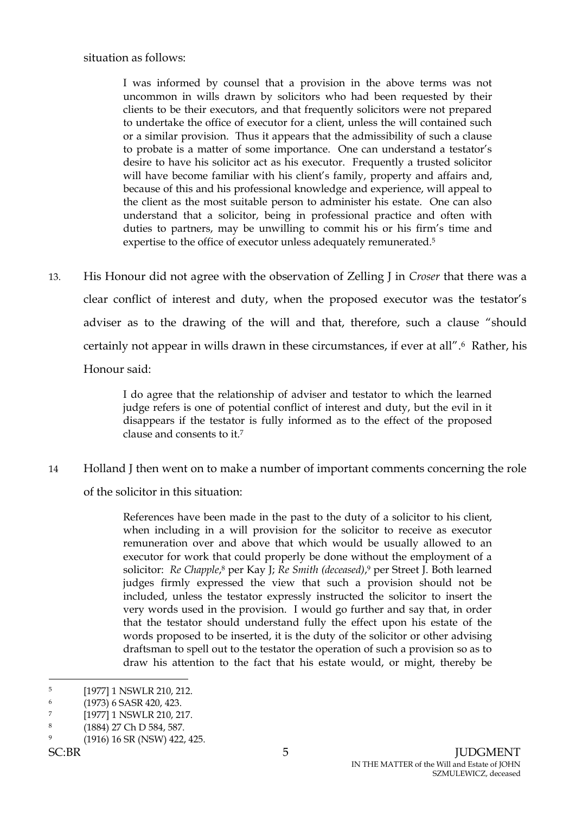situation as follows:

I was informed by counsel that a provision in the above terms was not uncommon in wills drawn by solicitors who had been requested by their clients to be their executors, and that frequently solicitors were not prepared to undertake the office of executor for a client, unless the will contained such or a similar provision. Thus it appears that the admissibility of such a clause to probate is a matter of some importance. One can understand a testator's desire to have his solicitor act as his executor. Frequently a trusted solicitor will have become familiar with his client's family, property and affairs and, because of this and his professional knowledge and experience, will appeal to the client as the most suitable person to administer his estate. One can also understand that a solicitor, being in professional practice and often with duties to partners, may be unwilling to commit his or his firm's time and expertise to the office of executor unless adequately remunerated.<sup>5</sup>

13. His Honour did not agree with the observation of Zelling J in *Croser* that there was a clear conflict of interest and duty, when the proposed executor was the testator's adviser as to the drawing of the will and that, therefore, such a clause "should certainly not appear in wills drawn in these circumstances, if ever at all". <sup>6</sup> Rather, his

Honour said:

I do agree that the relationship of adviser and testator to which the learned judge refers is one of potential conflict of interest and duty, but the evil in it disappears if the testator is fully informed as to the effect of the proposed clause and consents to it.<sup>7</sup>

14 Holland J then went on to make a number of important comments concerning the role of the solicitor in this situation:

> References have been made in the past to the duty of a solicitor to his client, when including in a will provision for the solicitor to receive as executor remuneration over and above that which would be usually allowed to an executor for work that could properly be done without the employment of a solicitor: *Re Chapple*,<sup>8</sup> per Kay J; *Re Smith (deceased)*,<sup>9</sup> per Street J. Both learned judges firmly expressed the view that such a provision should not be included, unless the testator expressly instructed the solicitor to insert the very words used in the provision. I would go further and say that, in order that the testator should understand fully the effect upon his estate of the words proposed to be inserted, it is the duty of the solicitor or other advising draftsman to spell out to the testator the operation of such a provision so as to draw his attention to the fact that his estate would, or might, thereby be

 $\overline{a}$ 5 [1977] 1 NSWLR 210, 212.

<sup>6</sup> (1973) 6 SASR 420, 423.

<sup>7</sup> [1977] 1 NSWLR 210, 217.

<sup>8</sup> (1884) 27 Ch D 584, 587.

<sup>9</sup> (1916) 16 SR (NSW) 422, 425.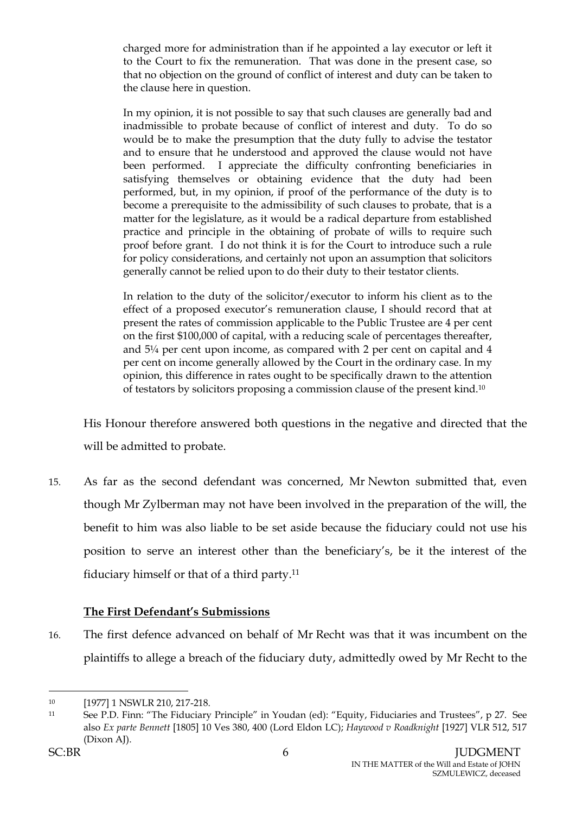charged more for administration than if he appointed a lay executor or left it to the Court to fix the remuneration. That was done in the present case, so that no objection on the ground of conflict of interest and duty can be taken to the clause here in question.

In my opinion, it is not possible to say that such clauses are generally bad and inadmissible to probate because of conflict of interest and duty. To do so would be to make the presumption that the duty fully to advise the testator and to ensure that he understood and approved the clause would not have been performed. I appreciate the difficulty confronting beneficiaries in satisfying themselves or obtaining evidence that the duty had been performed, but, in my opinion, if proof of the performance of the duty is to become a prerequisite to the admissibility of such clauses to probate, that is a matter for the legislature, as it would be a radical departure from established practice and principle in the obtaining of probate of wills to require such proof before grant. I do not think it is for the Court to introduce such a rule for policy considerations, and certainly not upon an assumption that solicitors generally cannot be relied upon to do their duty to their testator clients.

In relation to the duty of the solicitor/executor to inform his client as to the effect of a proposed executor's remuneration clause, I should record that at present the rates of commission applicable to the Public Trustee are 4 per cent on the first \$100,000 of capital, with a reducing scale of percentages thereafter, and 5¼ per cent upon income, as compared with 2 per cent on capital and 4 per cent on income generally allowed by the Court in the ordinary case. In my opinion, this difference in rates ought to be specifically drawn to the attention of testators by solicitors proposing a commission clause of the present kind.<sup>10</sup>

His Honour therefore answered both questions in the negative and directed that the will be admitted to probate.

15. As far as the second defendant was concerned, Mr Newton submitted that, even though Mr Zylberman may not have been involved in the preparation of the will, the benefit to him was also liable to be set aside because the fiduciary could not use his position to serve an interest other than the beneficiary's, be it the interest of the fiduciary himself or that of a third party.<sup>11</sup>

# **The First Defendant's Submissions**

16. The first defence advanced on behalf of Mr Recht was that it was incumbent on the plaintiffs to allege a breach of the fiduciary duty, admittedly owed by Mr Recht to the

<sup>10 [1977] 1</sup> NSWLR 210, 217-218.

<sup>11</sup> See P.D. Finn: "The Fiduciary Principle" in Youdan (ed): "Equity, Fiduciaries and Trustees", p 27. See also *Ex parte Bennett* [1805] 10 Ves 380, 400 (Lord Eldon LC); *Haywood v Roadknight* [1927] VLR 512, 517 (Dixon AJ).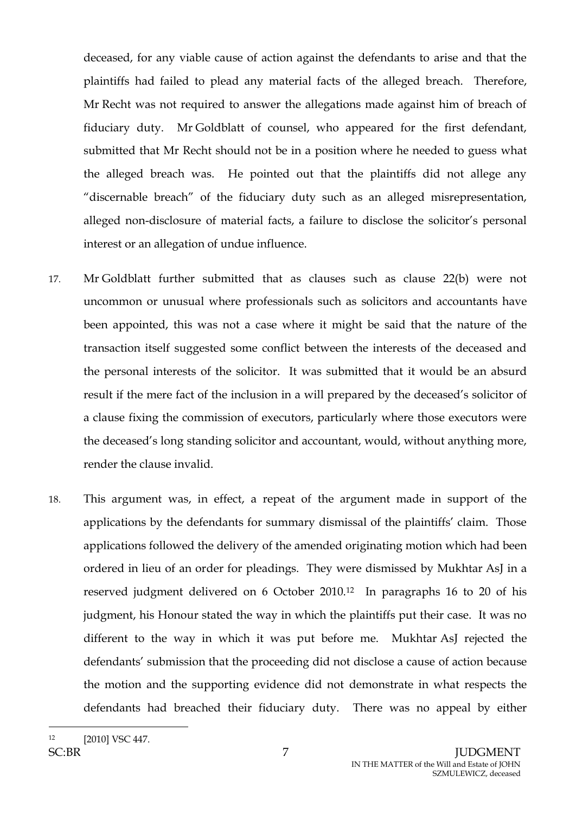deceased, for any viable cause of action against the defendants to arise and that the plaintiffs had failed to plead any material facts of the alleged breach. Therefore, Mr Recht was not required to answer the allegations made against him of breach of fiduciary duty. Mr Goldblatt of counsel, who appeared for the first defendant, submitted that Mr Recht should not be in a position where he needed to guess what the alleged breach was. He pointed out that the plaintiffs did not allege any "discernable breach" of the fiduciary duty such as an alleged misrepresentation, alleged non-disclosure of material facts, a failure to disclose the solicitor's personal interest or an allegation of undue influence.

- 17. Mr Goldblatt further submitted that as clauses such as clause 22(b) were not uncommon or unusual where professionals such as solicitors and accountants have been appointed, this was not a case where it might be said that the nature of the transaction itself suggested some conflict between the interests of the deceased and the personal interests of the solicitor. It was submitted that it would be an absurd result if the mere fact of the inclusion in a will prepared by the deceased's solicitor of a clause fixing the commission of executors, particularly where those executors were the deceased's long standing solicitor and accountant, would, without anything more, render the clause invalid.
- 18. This argument was, in effect, a repeat of the argument made in support of the applications by the defendants for summary dismissal of the plaintiffs' claim. Those applications followed the delivery of the amended originating motion which had been ordered in lieu of an order for pleadings. They were dismissed by Mukhtar AsJ in a reserved judgment delivered on 6 October 2010.12 In paragraphs 16 to 20 of his judgment, his Honour stated the way in which the plaintiffs put their case. It was no different to the way in which it was put before me. Mukhtar AsJ rejected the defendants' submission that the proceeding did not disclose a cause of action because the motion and the supporting evidence did not demonstrate in what respects the defendants had breached their fiduciary duty. There was no appeal by either

 $\overline{a}$ [2010] VSC 447.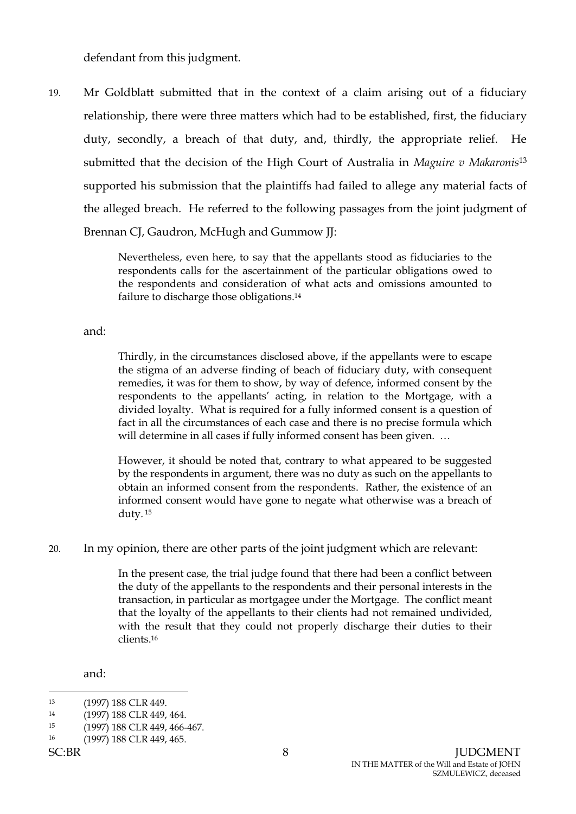defendant from this judgment.

19. Mr Goldblatt submitted that in the context of a claim arising out of a fiduciary relationship, there were three matters which had to be established, first, the fiduciary duty, secondly, a breach of that duty, and, thirdly, the appropriate relief. He submitted that the decision of the High Court of Australia in *Maguire v Makaronis*<sup>13</sup> supported his submission that the plaintiffs had failed to allege any material facts of the alleged breach. He referred to the following passages from the joint judgment of Brennan CJ, Gaudron, McHugh and Gummow JJ:

> Nevertheless, even here, to say that the appellants stood as fiduciaries to the respondents calls for the ascertainment of the particular obligations owed to the respondents and consideration of what acts and omissions amounted to failure to discharge those obligations.<sup>14</sup>

and:

Thirdly, in the circumstances disclosed above, if the appellants were to escape the stigma of an adverse finding of beach of fiduciary duty, with consequent remedies, it was for them to show, by way of defence, informed consent by the respondents to the appellants' acting, in relation to the Mortgage, with a divided loyalty. What is required for a fully informed consent is a question of fact in all the circumstances of each case and there is no precise formula which will determine in all cases if fully informed consent has been given. ...

However, it should be noted that, contrary to what appeared to be suggested by the respondents in argument, there was no duty as such on the appellants to obtain an informed consent from the respondents. Rather, the existence of an informed consent would have gone to negate what otherwise was a breach of duty. <sup>15</sup>

20. In my opinion, there are other parts of the joint judgment which are relevant:

In the present case, the trial judge found that there had been a conflict between the duty of the appellants to the respondents and their personal interests in the transaction, in particular as mortgagee under the Mortgage. The conflict meant that the loyalty of the appellants to their clients had not remained undivided, with the result that they could not properly discharge their duties to their clients.<sup>16</sup>

and:

 $\overline{a}$ 13 (1997) 188 CLR 449.

<sup>14</sup> (1997) 188 CLR 449, 464.

<sup>15</sup> (1997) 188 CLR 449, 466-467.

<sup>16</sup> (1997) 188 CLR 449, 465.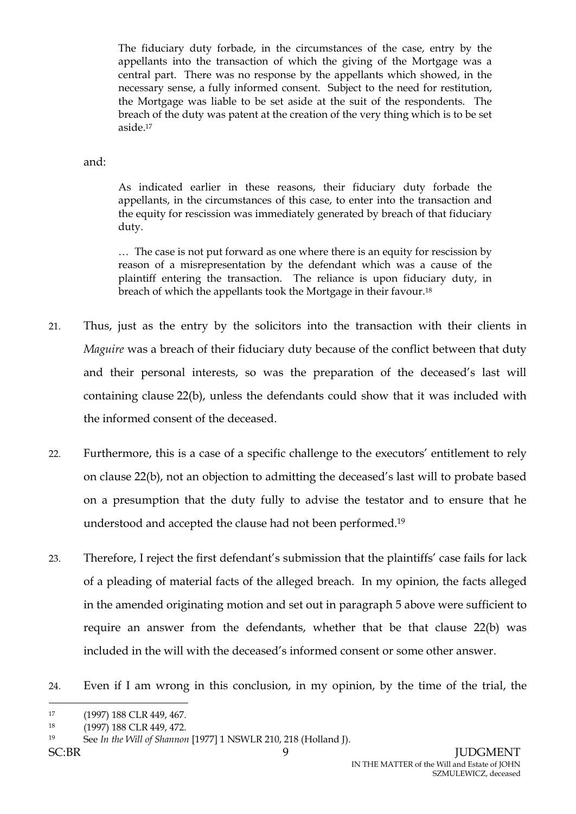The fiduciary duty forbade, in the circumstances of the case, entry by the appellants into the transaction of which the giving of the Mortgage was a central part. There was no response by the appellants which showed, in the necessary sense, a fully informed consent. Subject to the need for restitution, the Mortgage was liable to be set aside at the suit of the respondents. The breach of the duty was patent at the creation of the very thing which is to be set aside.<sup>17</sup>

#### and:

As indicated earlier in these reasons, their fiduciary duty forbade the appellants, in the circumstances of this case, to enter into the transaction and the equity for rescission was immediately generated by breach of that fiduciary duty.

… The case is not put forward as one where there is an equity for rescission by reason of a misrepresentation by the defendant which was a cause of the plaintiff entering the transaction. The reliance is upon fiduciary duty, in breach of which the appellants took the Mortgage in their favour.<sup>18</sup>

- 21. Thus, just as the entry by the solicitors into the transaction with their clients in *Maguire* was a breach of their fiduciary duty because of the conflict between that duty and their personal interests, so was the preparation of the deceased's last will containing clause 22(b), unless the defendants could show that it was included with the informed consent of the deceased.
- 22. Furthermore, this is a case of a specific challenge to the executors' entitlement to rely on clause 22(b), not an objection to admitting the deceased's last will to probate based on a presumption that the duty fully to advise the testator and to ensure that he understood and accepted the clause had not been performed.<sup>19</sup>
- 23. Therefore, I reject the first defendant's submission that the plaintiffs' case fails for lack of a pleading of material facts of the alleged breach. In my opinion, the facts alleged in the amended originating motion and set out in paragraph [5](#page-2-0) above were sufficient to require an answer from the defendants, whether that be that clause 22(b) was included in the will with the deceased's informed consent or some other answer.
- 24. Even if I am wrong in this conclusion, in my opinion, by the time of the trial, the

<sup>17</sup> (1997) 188 CLR 449, 467.

<sup>18</sup> (1997) 188 CLR 449, 472.

<sup>19</sup> See *In the Will of Shannon* [1977] 1 NSWLR 210, 218 (Holland J).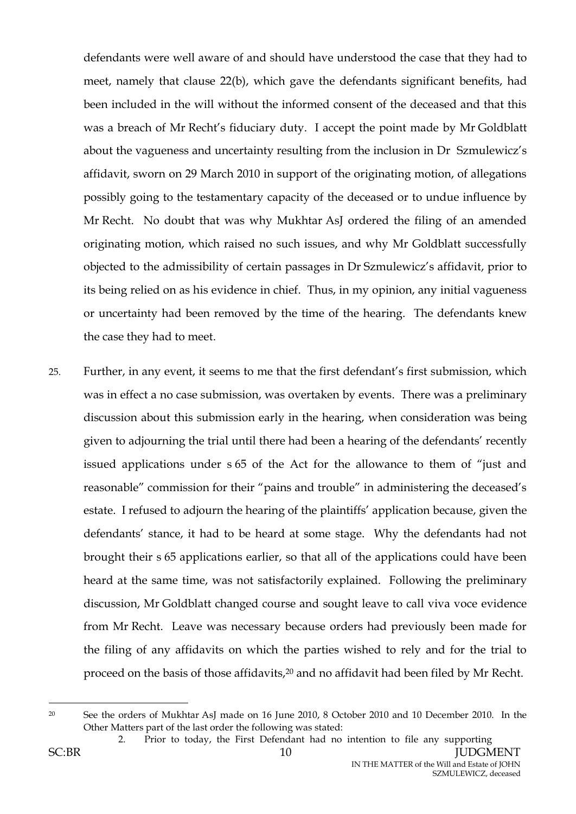defendants were well aware of and should have understood the case that they had to meet, namely that clause 22(b), which gave the defendants significant benefits, had been included in the will without the informed consent of the deceased and that this was a breach of Mr Recht's fiduciary duty. I accept the point made by Mr Goldblatt about the vagueness and uncertainty resulting from the inclusion in Dr Szmulewicz's affidavit, sworn on 29 March 2010 in support of the originating motion, of allegations possibly going to the testamentary capacity of the deceased or to undue influence by Mr Recht. No doubt that was why Mukhtar AsJ ordered the filing of an amended originating motion, which raised no such issues, and why Mr Goldblatt successfully objected to the admissibility of certain passages in Dr Szmulewicz's affidavit, prior to its being relied on as his evidence in chief. Thus, in my opinion, any initial vagueness or uncertainty had been removed by the time of the hearing. The defendants knew the case they had to meet.

25. Further, in any event, it seems to me that the first defendant's first submission, which was in effect a no case submission, was overtaken by events. There was a preliminary discussion about this submission early in the hearing, when consideration was being given to adjourning the trial until there had been a hearing of the defendants' recently issued applications under s 65 of the Act for the allowance to them of "just and reasonable" commission for their "pains and trouble" in administering the deceased's estate. I refused to adjourn the hearing of the plaintiffs' application because, given the defendants' stance, it had to be heard at some stage. Why the defendants had not brought their s 65 applications earlier, so that all of the applications could have been heard at the same time, was not satisfactorily explained. Following the preliminary discussion, Mr Goldblatt changed course and sought leave to call viva voce evidence from Mr Recht. Leave was necessary because orders had previously been made for the filing of any affidavits on which the parties wished to rely and for the trial to proceed on the basis of those affidavits,<sup>20</sup> and no affidavit had been filed by Mr Recht.

<sup>&</sup>lt;sup>20</sup> See the orders of Mukhtar AsJ made on 16 June 2010, 8 October 2010 and 10 December 2010. In the Other Matters part of the last order the following was stated:

<sup>2.</sup> Prior to today, the First Defendant had no intention to file any supporting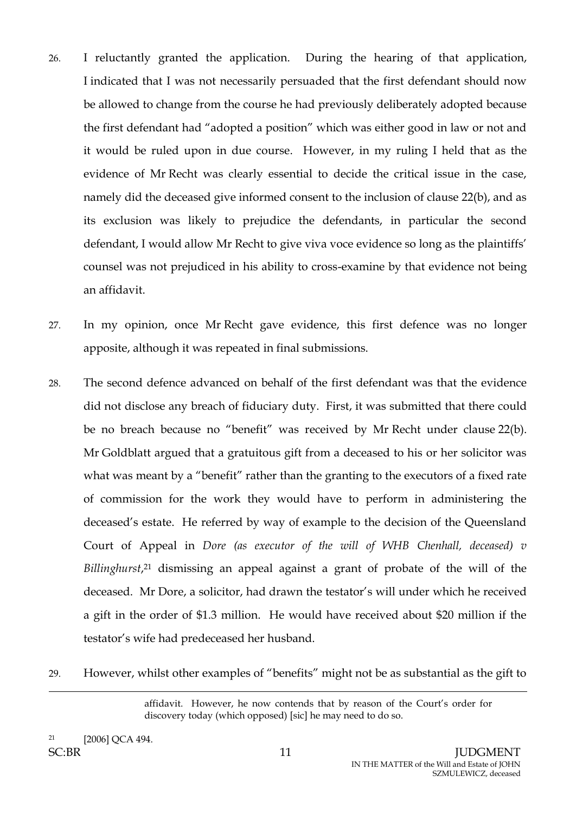- 26. I reluctantly granted the application. During the hearing of that application, I indicated that I was not necessarily persuaded that the first defendant should now be allowed to change from the course he had previously deliberately adopted because the first defendant had "adopted a position" which was either good in law or not and it would be ruled upon in due course. However, in my ruling I held that as the evidence of Mr Recht was clearly essential to decide the critical issue in the case, namely did the deceased give informed consent to the inclusion of clause 22(b), and as its exclusion was likely to prejudice the defendants, in particular the second defendant, I would allow Mr Recht to give viva voce evidence so long as the plaintiffs' counsel was not prejudiced in his ability to cross-examine by that evidence not being an affidavit.
- 27. In my opinion, once Mr Recht gave evidence, this first defence was no longer apposite, although it was repeated in final submissions.
- 28. The second defence advanced on behalf of the first defendant was that the evidence did not disclose any breach of fiduciary duty. First, it was submitted that there could be no breach because no "benefit" was received by Mr Recht under clause 22(b). Mr Goldblatt argued that a gratuitous gift from a deceased to his or her solicitor was what was meant by a "benefit" rather than the granting to the executors of a fixed rate of commission for the work they would have to perform in administering the deceased's estate. He referred by way of example to the decision of the Queensland Court of Appeal in *Dore (as executor of the will of WHB Chenhall, deceased) v Billinghurst*, <sup>21</sup> dismissing an appeal against a grant of probate of the will of the deceased. Mr Dore, a solicitor, had drawn the testator's will under which he received a gift in the order of \$1.3 million. He would have received about \$20 million if the testator's wife had predeceased her husband.
- 29. However, whilst other examples of "benefits" might not be as substantial as the gift to

affidavit. However, he now contends that by reason of the Court's order for discovery today (which opposed) [sic] he may need to do so.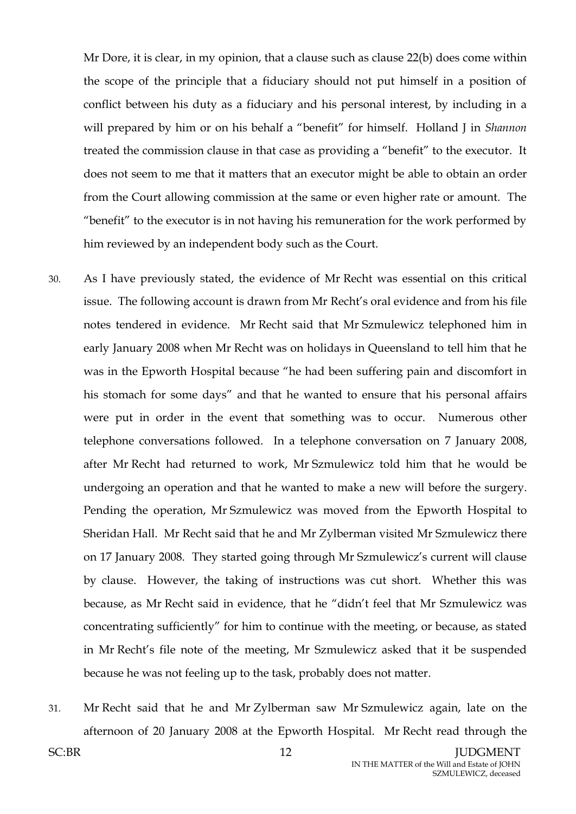Mr Dore, it is clear, in my opinion, that a clause such as clause 22(b) does come within the scope of the principle that a fiduciary should not put himself in a position of conflict between his duty as a fiduciary and his personal interest, by including in a will prepared by him or on his behalf a "benefit" for himself. Holland J in *Shannon*  treated the commission clause in that case as providing a "benefit" to the executor. It does not seem to me that it matters that an executor might be able to obtain an order from the Court allowing commission at the same or even higher rate or amount. The "benefit" to the executor is in not having his remuneration for the work performed by him reviewed by an independent body such as the Court.

- 30. As I have previously stated, the evidence of Mr Recht was essential on this critical issue. The following account is drawn from Mr Recht's oral evidence and from his file notes tendered in evidence. Mr Recht said that Mr Szmulewicz telephoned him in early January 2008 when Mr Recht was on holidays in Queensland to tell him that he was in the Epworth Hospital because "he had been suffering pain and discomfort in his stomach for some days" and that he wanted to ensure that his personal affairs were put in order in the event that something was to occur. Numerous other telephone conversations followed. In a telephone conversation on 7 January 2008, after Mr Recht had returned to work, Mr Szmulewicz told him that he would be undergoing an operation and that he wanted to make a new will before the surgery. Pending the operation, Mr Szmulewicz was moved from the Epworth Hospital to Sheridan Hall. Mr Recht said that he and Mr Zylberman visited Mr Szmulewicz there on 17 January 2008. They started going through Mr Szmulewicz's current will clause by clause. However, the taking of instructions was cut short. Whether this was because, as Mr Recht said in evidence, that he "didn't feel that Mr Szmulewicz was concentrating sufficiently" for him to continue with the meeting, or because, as stated in Mr Recht's file note of the meeting, Mr Szmulewicz asked that it be suspended because he was not feeling up to the task, probably does not matter.
- 31. Mr Recht said that he and Mr Zylberman saw Mr Szmulewicz again, late on the afternoon of 20 January 2008 at the Epworth Hospital. Mr Recht read through the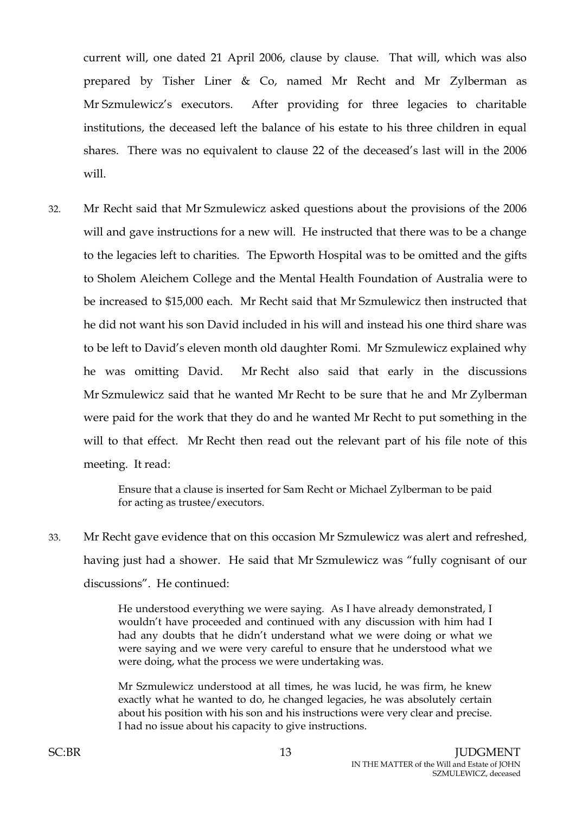current will, one dated 21 April 2006, clause by clause. That will, which was also prepared by Tisher Liner & Co, named Mr Recht and Mr Zylberman as Mr Szmulewicz's executors. After providing for three legacies to charitable institutions, the deceased left the balance of his estate to his three children in equal shares. There was no equivalent to clause 22 of the deceased's last will in the 2006 will.

32. Mr Recht said that Mr Szmulewicz asked questions about the provisions of the 2006 will and gave instructions for a new will. He instructed that there was to be a change to the legacies left to charities. The Epworth Hospital was to be omitted and the gifts to Sholem Aleichem College and the Mental Health Foundation of Australia were to be increased to \$15,000 each. Mr Recht said that Mr Szmulewicz then instructed that he did not want his son David included in his will and instead his one third share was to be left to David's eleven month old daughter Romi. Mr Szmulewicz explained why he was omitting David. Mr Recht also said that early in the discussions Mr Szmulewicz said that he wanted Mr Recht to be sure that he and Mr Zylberman were paid for the work that they do and he wanted Mr Recht to put something in the will to that effect. Mr Recht then read out the relevant part of his file note of this meeting. It read:

> Ensure that a clause is inserted for Sam Recht or Michael Zylberman to be paid for acting as trustee/executors.

33. Mr Recht gave evidence that on this occasion Mr Szmulewicz was alert and refreshed, having just had a shower. He said that Mr Szmulewicz was "fully cognisant of our discussions". He continued:

> He understood everything we were saying. As I have already demonstrated, I wouldn't have proceeded and continued with any discussion with him had I had any doubts that he didn't understand what we were doing or what we were saying and we were very careful to ensure that he understood what we were doing, what the process we were undertaking was.

> Mr Szmulewicz understood at all times, he was lucid, he was firm, he knew exactly what he wanted to do, he changed legacies, he was absolutely certain about his position with his son and his instructions were very clear and precise. I had no issue about his capacity to give instructions.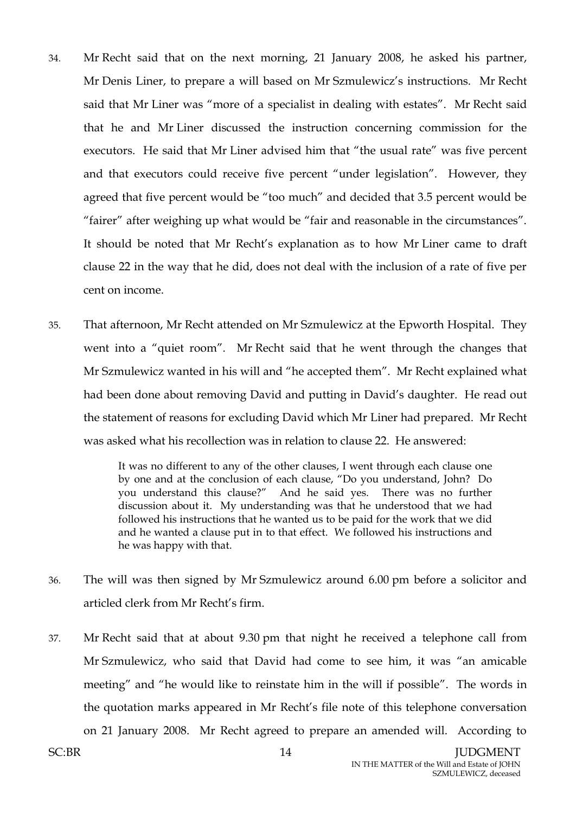- 34. Mr Recht said that on the next morning, 21 January 2008, he asked his partner, Mr Denis Liner, to prepare a will based on Mr Szmulewicz's instructions. Mr Recht said that Mr Liner was "more of a specialist in dealing with estates". Mr Recht said that he and Mr Liner discussed the instruction concerning commission for the executors. He said that Mr Liner advised him that "the usual rate" was five percent and that executors could receive five percent "under legislation". However, they agreed that five percent would be "too much" and decided that 3.5 percent would be "fairer" after weighing up what would be "fair and reasonable in the circumstances". It should be noted that Mr Recht's explanation as to how Mr Liner came to draft clause 22 in the way that he did, does not deal with the inclusion of a rate of five per cent on income.
- 35. That afternoon, Mr Recht attended on Mr Szmulewicz at the Epworth Hospital. They went into a "quiet room". Mr Recht said that he went through the changes that Mr Szmulewicz wanted in his will and "he accepted them". Mr Recht explained what had been done about removing David and putting in David's daughter. He read out the statement of reasons for excluding David which Mr Liner had prepared. Mr Recht was asked what his recollection was in relation to clause 22. He answered:

It was no different to any of the other clauses, I went through each clause one by one and at the conclusion of each clause, "Do you understand, John? Do you understand this clause?" And he said yes. There was no further discussion about it. My understanding was that he understood that we had followed his instructions that he wanted us to be paid for the work that we did and he wanted a clause put in to that effect. We followed his instructions and he was happy with that.

- 36. The will was then signed by Mr Szmulewicz around 6.00 pm before a solicitor and articled clerk from Mr Recht's firm.
- 37. Mr Recht said that at about 9.30 pm that night he received a telephone call from Mr Szmulewicz, who said that David had come to see him, it was "an amicable meeting" and "he would like to reinstate him in the will if possible". The words in the quotation marks appeared in Mr Recht's file note of this telephone conversation on 21 January 2008. Mr Recht agreed to prepare an amended will. According to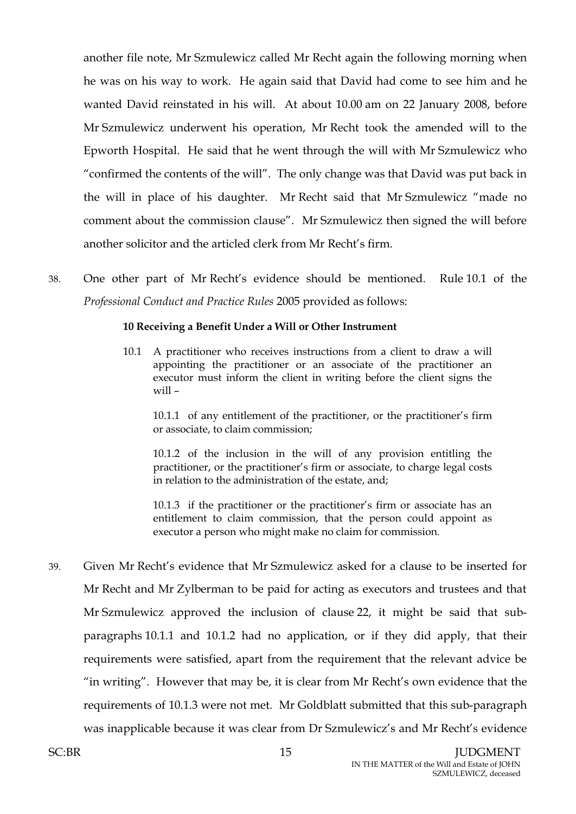another file note, Mr Szmulewicz called Mr Recht again the following morning when he was on his way to work. He again said that David had come to see him and he wanted David reinstated in his will. At about 10.00 am on 22 January 2008, before Mr Szmulewicz underwent his operation, Mr Recht took the amended will to the Epworth Hospital. He said that he went through the will with Mr Szmulewicz who "confirmed the contents of the will". The only change was that David was put back in the will in place of his daughter. Mr Recht said that Mr Szmulewicz "made no comment about the commission clause". Mr Szmulewicz then signed the will before another solicitor and the articled clerk from Mr Recht's firm.

38. One other part of Mr Recht's evidence should be mentioned. Rule 10.1 of the *Professional Conduct and Practice Rules* 2005 provided as follows:

#### **10 Receiving a Benefit Under a Will or Other Instrument**

10.1 A practitioner who receives instructions from a client to draw a will appointing the practitioner or an associate of the practitioner an executor must inform the client in writing before the client signs the will –

10.1.1 of any entitlement of the practitioner, or the practitioner's firm or associate, to claim commission;

10.1.2 of the inclusion in the will of any provision entitling the practitioner, or the practitioner's firm or associate, to charge legal costs in relation to the administration of the estate, and;

10.1.3 if the practitioner or the practitioner's firm or associate has an entitlement to claim commission, that the person could appoint as executor a person who might make no claim for commission.

39. Given Mr Recht's evidence that Mr Szmulewicz asked for a clause to be inserted for Mr Recht and Mr Zylberman to be paid for acting as executors and trustees and that Mr Szmulewicz approved the inclusion of clause 22, it might be said that subparagraphs 10.1.1 and 10.1.2 had no application, or if they did apply, that their requirements were satisfied, apart from the requirement that the relevant advice be "in writing". However that may be, it is clear from Mr Recht's own evidence that the requirements of 10.1.3 were not met. Mr Goldblatt submitted that this sub-paragraph was inapplicable because it was clear from Dr Szmulewicz's and Mr Recht's evidence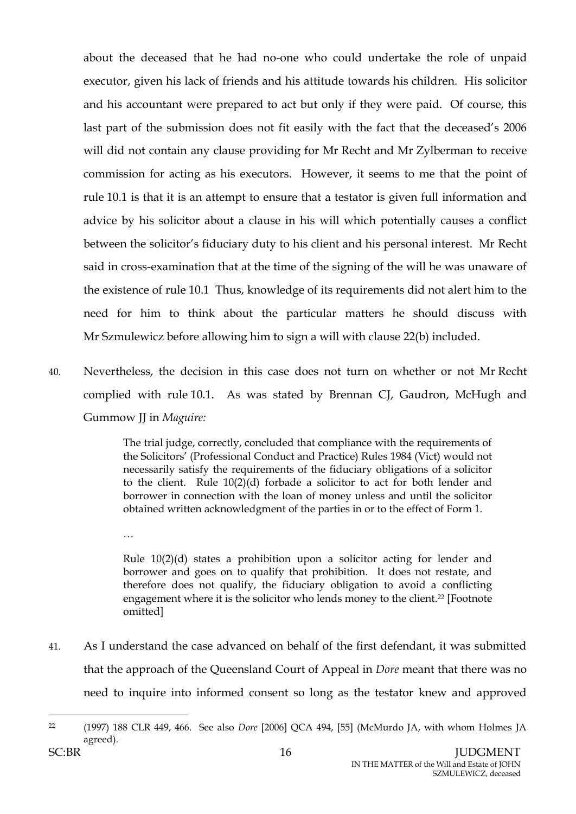about the deceased that he had no-one who could undertake the role of unpaid executor, given his lack of friends and his attitude towards his children. His solicitor and his accountant were prepared to act but only if they were paid. Of course, this last part of the submission does not fit easily with the fact that the deceased's 2006 will did not contain any clause providing for Mr Recht and Mr Zylberman to receive commission for acting as his executors. However, it seems to me that the point of rule 10.1 is that it is an attempt to ensure that a testator is given full information and advice by his solicitor about a clause in his will which potentially causes a conflict between the solicitor's fiduciary duty to his client and his personal interest. Mr Recht said in cross-examination that at the time of the signing of the will he was unaware of the existence of rule 10.1 Thus, knowledge of its requirements did not alert him to the need for him to think about the particular matters he should discuss with Mr Szmulewicz before allowing him to sign a will with clause 22(b) included.

40. Nevertheless, the decision in this case does not turn on whether or not Mr Recht complied with rule 10.1. As was stated by Brennan CJ, Gaudron, McHugh and Gummow JJ in *Maguire:*

> The trial judge, correctly, concluded that compliance with the requirements of the Solicitors' (Professional Conduct and Practice) Rules 1984 (Vict) would not necessarily satisfy the requirements of the fiduciary obligations of a solicitor to the client. Rule 10(2)(d) forbade a solicitor to act for both lender and borrower in connection with the loan of money unless and until the solicitor obtained written acknowledgment of the parties in or to the effect of Form 1.

> Rule  $10(2)(d)$  states a prohibition upon a solicitor acting for lender and borrower and goes on to qualify that prohibition. It does not restate, and therefore does not qualify, the fiduciary obligation to avoid a conflicting engagement where it is the solicitor who lends money to the client.<sup>22</sup> [Footnote omitted]

41. As I understand the case advanced on behalf of the first defendant, it was submitted that the approach of the Queensland Court of Appeal in *Dore* meant that there was no need to inquire into informed consent so long as the testator knew and approved

…

 $\overline{a}$ <sup>22</sup> (1997) 188 CLR 449, 466. See also *Dore* [2006] QCA 494, [55] (McMurdo JA, with whom Holmes JA agreed).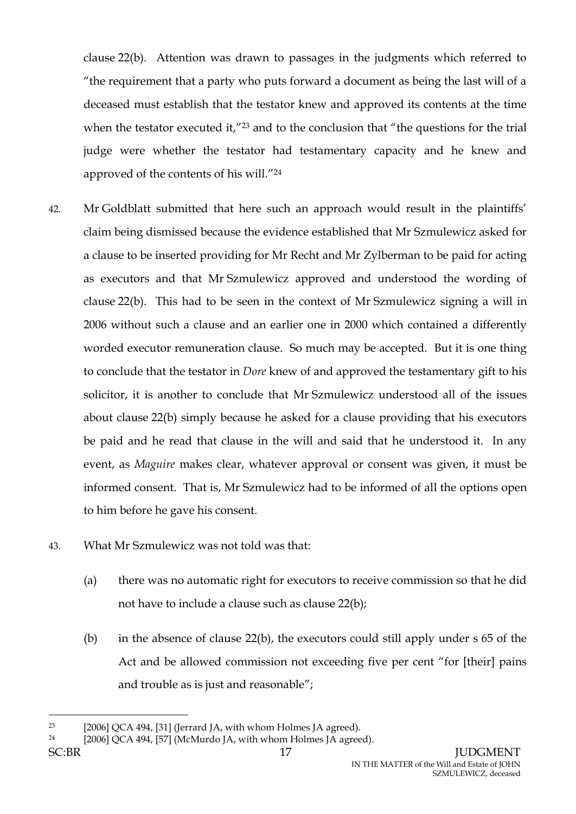clause 22(b). Attention was drawn to passages in the judgments which referred to "the requirement that a party who puts forward a document as being the last will of a deceased must establish that the testator knew and approved its contents at the time when the testator executed it,"<sup>23</sup> and to the conclusion that "the questions for the trial judge were whether the testator had testamentary capacity and he knew and approved of the contents of his will."<sup>24</sup>

- 42. Mr Goldblatt submitted that here such an approach would result in the plaintiffs' claim being dismissed because the evidence established that Mr Szmulewicz asked for a clause to be inserted providing for Mr Recht and Mr Zylberman to be paid for acting as executors and that Mr Szmulewicz approved and understood the wording of clause 22(b). This had to be seen in the context of Mr Szmulewicz signing a will in 2006 without such a clause and an earlier one in 2000 which contained a differently worded executor remuneration clause. So much may be accepted. But it is one thing to conclude that the testator in *Dore* knew of and approved the testamentary gift to his solicitor, it is another to conclude that Mr Szmulewicz understood all of the issues about clause 22(b) simply because he asked for a clause providing that his executors be paid and he read that clause in the will and said that he understood it. In any event, as *Maguire* makes clear, whatever approval or consent was given, it must be informed consent. That is, Mr Szmulewicz had to be informed of all the options open to him before he gave his consent.
- 43. What Mr Szmulewicz was not told was that:
	- (a) there was no automatic right for executors to receive commission so that he did not have to include a clause such as clause 22(b);
	- (b) in the absence of clause 22(b), the executors could still apply under s 65 of the Act and be allowed commission not exceeding five per cent "for [their] pains and trouble as is just and reasonable";

<sup>23</sup> [2006] QCA 494, [31] (Jerrard JA, with whom Holmes JA agreed).

<sup>&</sup>lt;sup>24</sup> [2006] QCA 494, [57] (McMurdo JA, with whom Holmes JA agreed).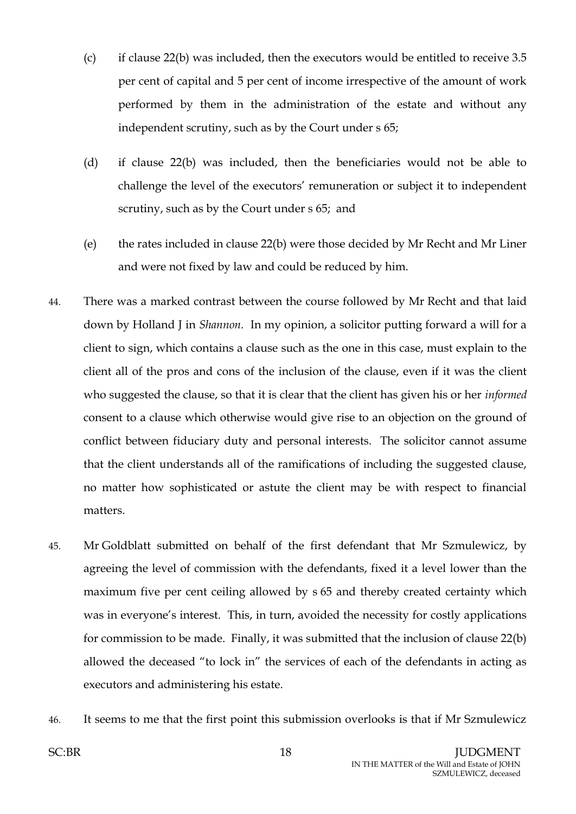- (c) if clause 22(b) was included, then the executors would be entitled to receive 3.5 per cent of capital and 5 per cent of income irrespective of the amount of work performed by them in the administration of the estate and without any independent scrutiny, such as by the Court under s 65;
- (d) if clause 22(b) was included, then the beneficiaries would not be able to challenge the level of the executors' remuneration or subject it to independent scrutiny, such as by the Court under s 65; and
- (e) the rates included in clause 22(b) were those decided by Mr Recht and Mr Liner and were not fixed by law and could be reduced by him.
- 44. There was a marked contrast between the course followed by Mr Recht and that laid down by Holland J in *Shannon.* In my opinion, a solicitor putting forward a will for a client to sign, which contains a clause such as the one in this case, must explain to the client all of the pros and cons of the inclusion of the clause, even if it was the client who suggested the clause, so that it is clear that the client has given his or her *informed*  consent to a clause which otherwise would give rise to an objection on the ground of conflict between fiduciary duty and personal interests. The solicitor cannot assume that the client understands all of the ramifications of including the suggested clause, no matter how sophisticated or astute the client may be with respect to financial matters.
- 45. Mr Goldblatt submitted on behalf of the first defendant that Mr Szmulewicz, by agreeing the level of commission with the defendants, fixed it a level lower than the maximum five per cent ceiling allowed by s 65 and thereby created certainty which was in everyone's interest. This, in turn, avoided the necessity for costly applications for commission to be made. Finally, it was submitted that the inclusion of clause 22(b) allowed the deceased "to lock in" the services of each of the defendants in acting as executors and administering his estate.
- 46. It seems to me that the first point this submission overlooks is that if Mr Szmulewicz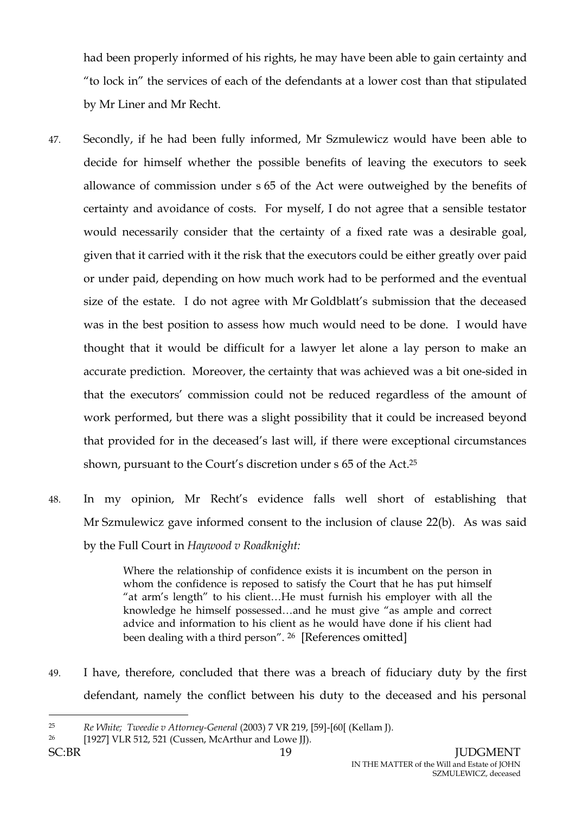had been properly informed of his rights, he may have been able to gain certainty and "to lock in" the services of each of the defendants at a lower cost than that stipulated by Mr Liner and Mr Recht.

- 47. Secondly, if he had been fully informed, Mr Szmulewicz would have been able to decide for himself whether the possible benefits of leaving the executors to seek allowance of commission under s 65 of the Act were outweighed by the benefits of certainty and avoidance of costs. For myself, I do not agree that a sensible testator would necessarily consider that the certainty of a fixed rate was a desirable goal, given that it carried with it the risk that the executors could be either greatly over paid or under paid, depending on how much work had to be performed and the eventual size of the estate. I do not agree with Mr Goldblatt's submission that the deceased was in the best position to assess how much would need to be done. I would have thought that it would be difficult for a lawyer let alone a lay person to make an accurate prediction. Moreover, the certainty that was achieved was a bit one-sided in that the executors' commission could not be reduced regardless of the amount of work performed, but there was a slight possibility that it could be increased beyond that provided for in the deceased's last will, if there were exceptional circumstances shown, pursuant to the Court's discretion under s 65 of the Act. 25
- 48. In my opinion, Mr Recht's evidence falls well short of establishing that Mr Szmulewicz gave informed consent to the inclusion of clause 22(b). As was said by the Full Court in *Haywood v Roadknight:*

Where the relationship of confidence exists it is incumbent on the person in whom the confidence is reposed to satisfy the Court that he has put himself "at arm's length" to his client…He must furnish his employer with all the knowledge he himself possessed…and he must give "as ample and correct advice and information to his client as he would have done if his client had been dealing with a third person". <sup>26</sup> [References omitted]

49. I have, therefore, concluded that there was a breach of fiduciary duty by the first defendant, namely the conflict between his duty to the deceased and his personal

<sup>25</sup> *Re White; Tweedie v Attorney-General* (2003) 7 VR 219, [59]-[60[ (Kellam J).

<sup>26</sup> [1927] VLR 512, 521 (Cussen, McArthur and Lowe JJ).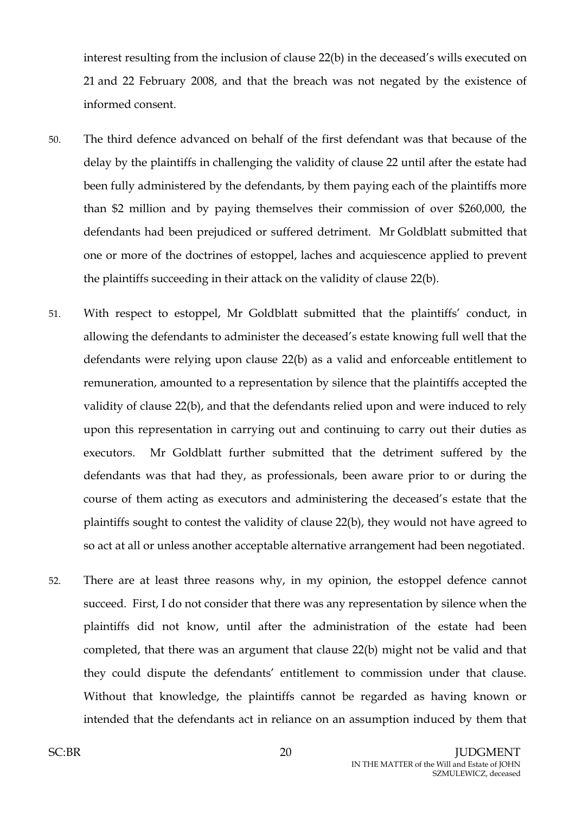interest resulting from the inclusion of clause 22(b) in the deceased's wills executed on 21 and 22 February 2008, and that the breach was not negated by the existence of informed consent.

- 50. The third defence advanced on behalf of the first defendant was that because of the delay by the plaintiffs in challenging the validity of clause 22 until after the estate had been fully administered by the defendants, by them paying each of the plaintiffs more than \$2 million and by paying themselves their commission of over \$260,000, the defendants had been prejudiced or suffered detriment. Mr Goldblatt submitted that one or more of the doctrines of estoppel, laches and acquiescence applied to prevent the plaintiffs succeeding in their attack on the validity of clause 22(b).
- 51. With respect to estoppel, Mr Goldblatt submitted that the plaintiffs' conduct, in allowing the defendants to administer the deceased's estate knowing full well that the defendants were relying upon clause 22(b) as a valid and enforceable entitlement to remuneration, amounted to a representation by silence that the plaintiffs accepted the validity of clause 22(b), and that the defendants relied upon and were induced to rely upon this representation in carrying out and continuing to carry out their duties as executors. Mr Goldblatt further submitted that the detriment suffered by the defendants was that had they, as professionals, been aware prior to or during the course of them acting as executors and administering the deceased's estate that the plaintiffs sought to contest the validity of clause 22(b), they would not have agreed to so act at all or unless another acceptable alternative arrangement had been negotiated.
- 52. There are at least three reasons why, in my opinion, the estoppel defence cannot succeed. First, I do not consider that there was any representation by silence when the plaintiffs did not know, until after the administration of the estate had been completed, that there was an argument that clause 22(b) might not be valid and that they could dispute the defendants' entitlement to commission under that clause. Without that knowledge, the plaintiffs cannot be regarded as having known or intended that the defendants act in reliance on an assumption induced by them that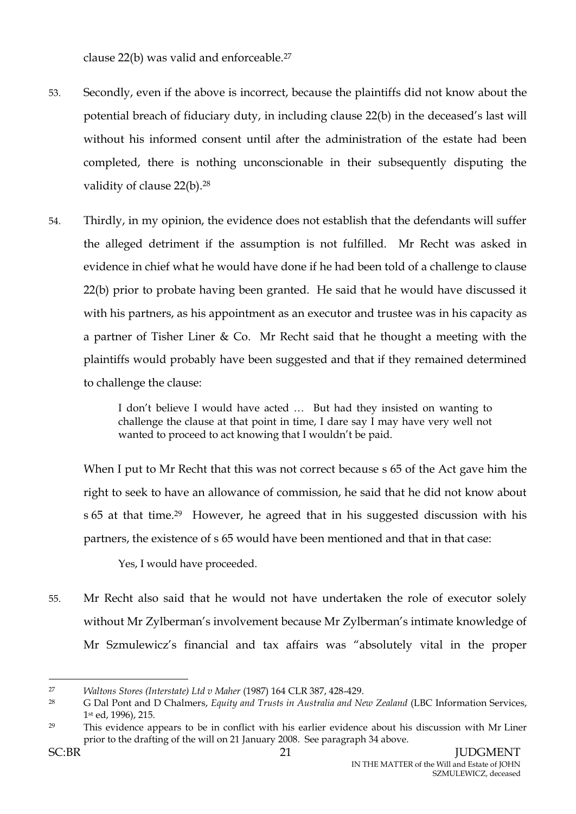clause 22(b) was valid and enforceable.<sup>27</sup>

- 53. Secondly, even if the above is incorrect, because the plaintiffs did not know about the potential breach of fiduciary duty, in including clause 22(b) in the deceased's last will without his informed consent until after the administration of the estate had been completed, there is nothing unconscionable in their subsequently disputing the validity of clause 22(b).<sup>28</sup>
- 54. Thirdly, in my opinion, the evidence does not establish that the defendants will suffer the alleged detriment if the assumption is not fulfilled. Mr Recht was asked in evidence in chief what he would have done if he had been told of a challenge to clause 22(b) prior to probate having been granted. He said that he would have discussed it with his partners, as his appointment as an executor and trustee was in his capacity as a partner of Tisher Liner & Co. Mr Recht said that he thought a meeting with the plaintiffs would probably have been suggested and that if they remained determined to challenge the clause:

I don't believe I would have acted … But had they insisted on wanting to challenge the clause at that point in time, I dare say I may have very well not wanted to proceed to act knowing that I wouldn't be paid.

When I put to Mr Recht that this was not correct because s 65 of the Act gave him the right to seek to have an allowance of commission, he said that he did not know about s 65 at that time.29 However, he agreed that in his suggested discussion with his partners, the existence of s 65 would have been mentioned and that in that case:

Yes, I would have proceeded.

55. Mr Recht also said that he would not have undertaken the role of executor solely without Mr Zylberman's involvement because Mr Zylberman's intimate knowledge of Mr Szmulewicz's financial and tax affairs was "absolutely vital in the proper

<sup>27</sup> *Waltons Stores (Interstate) Ltd v Maher* (1987) 164 CLR 387, 428-429.

<sup>28</sup> G Dal Pont and D Chalmers, *Equity and Trusts in Australia and New Zealand* (LBC Information Services, 1 st ed, 1996), 215.

<sup>&</sup>lt;sup>29</sup> This evidence appears to be in conflict with his earlier evidence about his discussion with Mr Liner prior to the drafting of the will on 21 January 2008. See paragraph 34 above.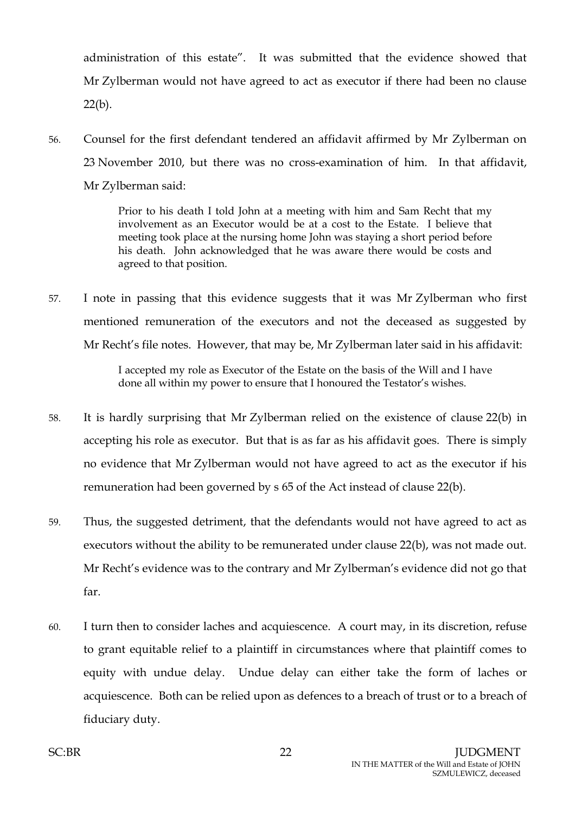administration of this estate". It was submitted that the evidence showed that Mr Zylberman would not have agreed to act as executor if there had been no clause  $22(b)$ .

56. Counsel for the first defendant tendered an affidavit affirmed by Mr Zylberman on 23 November 2010, but there was no cross-examination of him. In that affidavit, Mr Zylberman said:

> Prior to his death I told John at a meeting with him and Sam Recht that my involvement as an Executor would be at a cost to the Estate. I believe that meeting took place at the nursing home John was staying a short period before his death. John acknowledged that he was aware there would be costs and agreed to that position.

57. I note in passing that this evidence suggests that it was Mr Zylberman who first mentioned remuneration of the executors and not the deceased as suggested by Mr Recht's file notes. However, that may be, Mr Zylberman later said in his affidavit:

> I accepted my role as Executor of the Estate on the basis of the Will and I have done all within my power to ensure that I honoured the Testator's wishes.

- 58. It is hardly surprising that Mr Zylberman relied on the existence of clause 22(b) in accepting his role as executor. But that is as far as his affidavit goes. There is simply no evidence that Mr Zylberman would not have agreed to act as the executor if his remuneration had been governed by s 65 of the Act instead of clause 22(b).
- 59. Thus, the suggested detriment, that the defendants would not have agreed to act as executors without the ability to be remunerated under clause 22(b), was not made out. Mr Recht's evidence was to the contrary and Mr Zylberman's evidence did not go that far.
- 60. I turn then to consider laches and acquiescence. A court may, in its discretion, refuse to grant equitable relief to a plaintiff in circumstances where that plaintiff comes to equity with undue delay. Undue delay can either take the form of laches or acquiescence. Both can be relied upon as defences to a breach of trust or to a breach of fiduciary duty.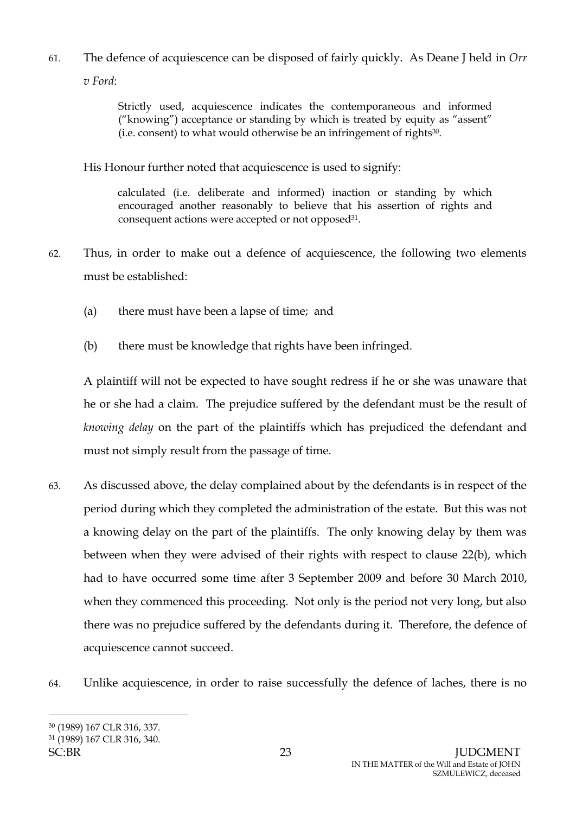61. The defence of acquiescence can be disposed of fairly quickly. As Deane J held in *Orr v Ford*:

> Strictly used, acquiescence indicates the contemporaneous and informed ("knowing") acceptance or standing by which is treated by equity as "assent" (i.e. consent) to what would otherwise be an infringement of rights30.

His Honour further noted that acquiescence is used to signify:

calculated (i.e. deliberate and informed) inaction or standing by which encouraged another reasonably to believe that his assertion of rights and consequent actions were accepted or not opposed<sup>31</sup>.

- 62. Thus, in order to make out a defence of acquiescence, the following two elements must be established:
	- (a) there must have been a lapse of time; and
	- (b) there must be knowledge that rights have been infringed.

A plaintiff will not be expected to have sought redress if he or she was unaware that he or she had a claim. The prejudice suffered by the defendant must be the result of *knowing delay* on the part of the plaintiffs which has prejudiced the defendant and must not simply result from the passage of time.

- 63. As discussed above, the delay complained about by the defendants is in respect of the period during which they completed the administration of the estate. But this was not a knowing delay on the part of the plaintiffs. The only knowing delay by them was between when they were advised of their rights with respect to clause 22(b), which had to have occurred some time after 3 September 2009 and before 30 March 2010, when they commenced this proceeding. Not only is the period not very long, but also there was no prejudice suffered by the defendants during it. Therefore, the defence of acquiescence cannot succeed.
- 64. Unlike acquiescence, in order to raise successfully the defence of laches, there is no

<sup>30</sup> (1989) 167 CLR 316, 337.

<sup>31</sup> (1989) 167 CLR 316, 340.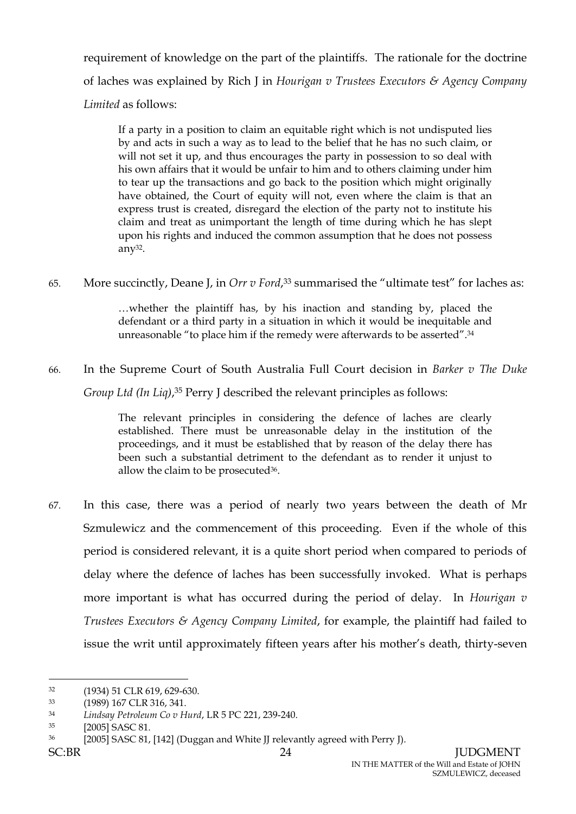requirement of knowledge on the part of the plaintiffs. The rationale for the doctrine of laches was explained by Rich J in *Hourigan v Trustees Executors & Agency Company Limited* as follows:

If a party in a position to claim an equitable right which is not undisputed lies by and acts in such a way as to lead to the belief that he has no such claim, or will not set it up, and thus encourages the party in possession to so deal with his own affairs that it would be unfair to him and to others claiming under him to tear up the transactions and go back to the position which might originally have obtained, the Court of equity will not, even where the claim is that an express trust is created, disregard the election of the party not to institute his claim and treat as unimportant the length of time during which he has slept upon his rights and induced the common assumption that he does not possess any32.

65. More succinctly, Deane J, in *Orr v Ford*, <sup>33</sup> summarised the "ultimate test" for laches as:

…whether the plaintiff has, by his inaction and standing by, placed the defendant or a third party in a situation in which it would be inequitable and unreasonable "to place him if the remedy were afterwards to be asserted".<sup>34</sup>

66. In the Supreme Court of South Australia Full Court decision in *Barker v The Duke Group Ltd (In Liq)*, <sup>35</sup> Perry J described the relevant principles as follows:

> The relevant principles in considering the defence of laches are clearly established. There must be unreasonable delay in the institution of the proceedings, and it must be established that by reason of the delay there has been such a substantial detriment to the defendant as to render it unjust to allow the claim to be prosecuted<sup>36</sup>.

67. In this case, there was a period of nearly two years between the death of Mr Szmulewicz and the commencement of this proceeding. Even if the whole of this period is considered relevant, it is a quite short period when compared to periods of delay where the defence of laches has been successfully invoked. What is perhaps more important is what has occurred during the period of delay. In *Hourigan v Trustees Executors & Agency Company Limited*, for example, the plaintiff had failed to issue the writ until approximately fifteen years after his mother's death, thirty-seven

 $\overline{a}$ <sup>32</sup> (1934) 51 CLR 619, 629-630.

<sup>33</sup> (1989) 167 CLR 316, 341.

<sup>34</sup> *Lindsay Petroleum Co v Hurd*, LR 5 PC 221, 239-240.

<sup>35</sup> [2005] SASC 81.

<sup>36</sup> [2005] SASC 81, [142] (Duggan and White JJ relevantly agreed with Perry J).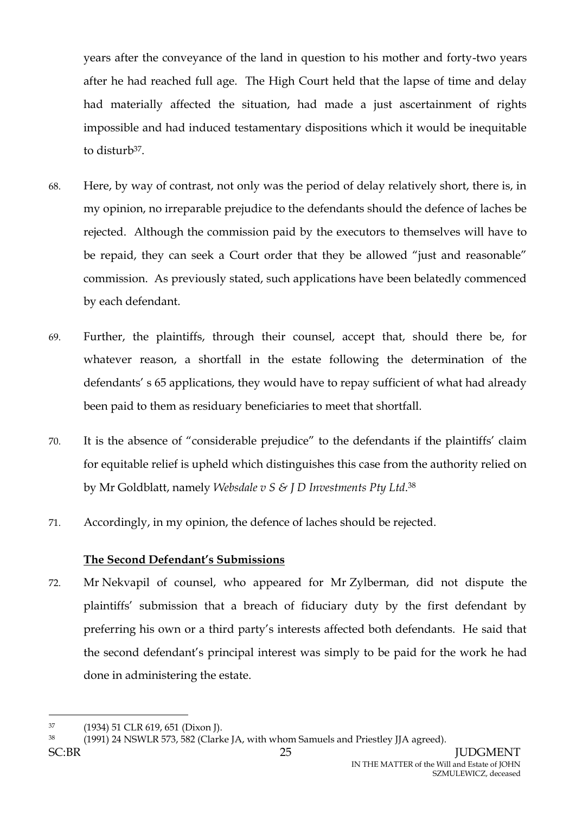years after the conveyance of the land in question to his mother and forty-two years after he had reached full age. The High Court held that the lapse of time and delay had materially affected the situation, had made a just ascertainment of rights impossible and had induced testamentary dispositions which it would be inequitable to disturb<sup>37</sup>.

- 68. Here, by way of contrast, not only was the period of delay relatively short, there is, in my opinion, no irreparable prejudice to the defendants should the defence of laches be rejected. Although the commission paid by the executors to themselves will have to be repaid, they can seek a Court order that they be allowed "just and reasonable" commission. As previously stated, such applications have been belatedly commenced by each defendant.
- 69. Further, the plaintiffs, through their counsel, accept that, should there be, for whatever reason, a shortfall in the estate following the determination of the defendants' s 65 applications, they would have to repay sufficient of what had already been paid to them as residuary beneficiaries to meet that shortfall.
- 70. It is the absence of "considerable prejudice" to the defendants if the plaintiffs' claim for equitable relief is upheld which distinguishes this case from the authority relied on by Mr Goldblatt, namely *Websdale v S & J D Investments Pty Ltd*. 38
- 71. Accordingly, in my opinion, the defence of laches should be rejected.

## **The Second Defendant's Submissions**

72. Mr Nekvapil of counsel, who appeared for Mr Zylberman, did not dispute the plaintiffs' submission that a breach of fiduciary duty by the first defendant by preferring his own or a third party's interests affected both defendants. He said that the second defendant's principal interest was simply to be paid for the work he had done in administering the estate.

<sup>37</sup> (1934) 51 CLR 619, 651 (Dixon J).

<sup>38</sup> (1991) 24 NSWLR 573, 582 (Clarke JA, with whom Samuels and Priestley JJA agreed).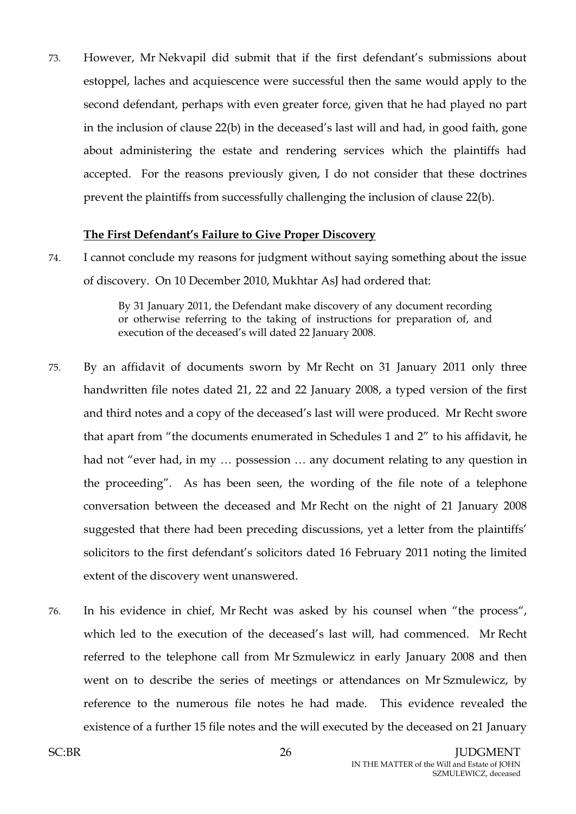73. However, Mr Nekvapil did submit that if the first defendant's submissions about estoppel, laches and acquiescence were successful then the same would apply to the second defendant, perhaps with even greater force, given that he had played no part in the inclusion of clause 22(b) in the deceased's last will and had, in good faith, gone about administering the estate and rendering services which the plaintiffs had accepted. For the reasons previously given, I do not consider that these doctrines prevent the plaintiffs from successfully challenging the inclusion of clause 22(b).

### **The First Defendant's Failure to Give Proper Discovery**

74. I cannot conclude my reasons for judgment without saying something about the issue of discovery. On 10 December 2010, Mukhtar AsJ had ordered that:

> By 31 January 2011, the Defendant make discovery of any document recording or otherwise referring to the taking of instructions for preparation of, and execution of the deceased's will dated 22 January 2008.

- 75. By an affidavit of documents sworn by Mr Recht on 31 January 2011 only three handwritten file notes dated 21, 22 and 22 January 2008, a typed version of the first and third notes and a copy of the deceased's last will were produced. Mr Recht swore that apart from "the documents enumerated in Schedules 1 and 2" to his affidavit, he had not "ever had, in my … possession … any document relating to any question in the proceeding". As has been seen, the wording of the file note of a telephone conversation between the deceased and Mr Recht on the night of 21 January 2008 suggested that there had been preceding discussions, yet a letter from the plaintiffs' solicitors to the first defendant's solicitors dated 16 February 2011 noting the limited extent of the discovery went unanswered.
- 76. In his evidence in chief, Mr Recht was asked by his counsel when "the process", which led to the execution of the deceased's last will, had commenced. Mr Recht referred to the telephone call from Mr Szmulewicz in early January 2008 and then went on to describe the series of meetings or attendances on Mr Szmulewicz, by reference to the numerous file notes he had made. This evidence revealed the existence of a further 15 file notes and the will executed by the deceased on 21 January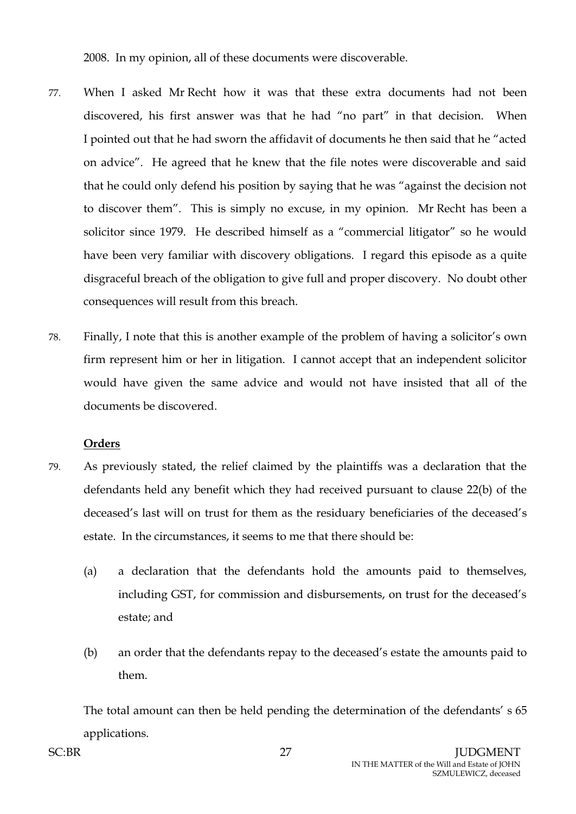2008. In my opinion, all of these documents were discoverable.

- 77. When I asked Mr Recht how it was that these extra documents had not been discovered, his first answer was that he had "no part" in that decision. When I pointed out that he had sworn the affidavit of documents he then said that he "acted on advice". He agreed that he knew that the file notes were discoverable and said that he could only defend his position by saying that he was "against the decision not to discover them". This is simply no excuse, in my opinion. Mr Recht has been a solicitor since 1979. He described himself as a "commercial litigator" so he would have been very familiar with discovery obligations. I regard this episode as a quite disgraceful breach of the obligation to give full and proper discovery. No doubt other consequences will result from this breach.
- 78. Finally, I note that this is another example of the problem of having a solicitor's own firm represent him or her in litigation. I cannot accept that an independent solicitor would have given the same advice and would not have insisted that all of the documents be discovered.

## **Orders**

- 79. As previously stated, the relief claimed by the plaintiffs was a declaration that the defendants held any benefit which they had received pursuant to clause 22(b) of the deceased's last will on trust for them as the residuary beneficiaries of the deceased's estate. In the circumstances, it seems to me that there should be:
	- (a) a declaration that the defendants hold the amounts paid to themselves, including GST, for commission and disbursements, on trust for the deceased's estate; and
	- (b) an order that the defendants repay to the deceased's estate the amounts paid to them.

The total amount can then be held pending the determination of the defendants' s 65 applications.